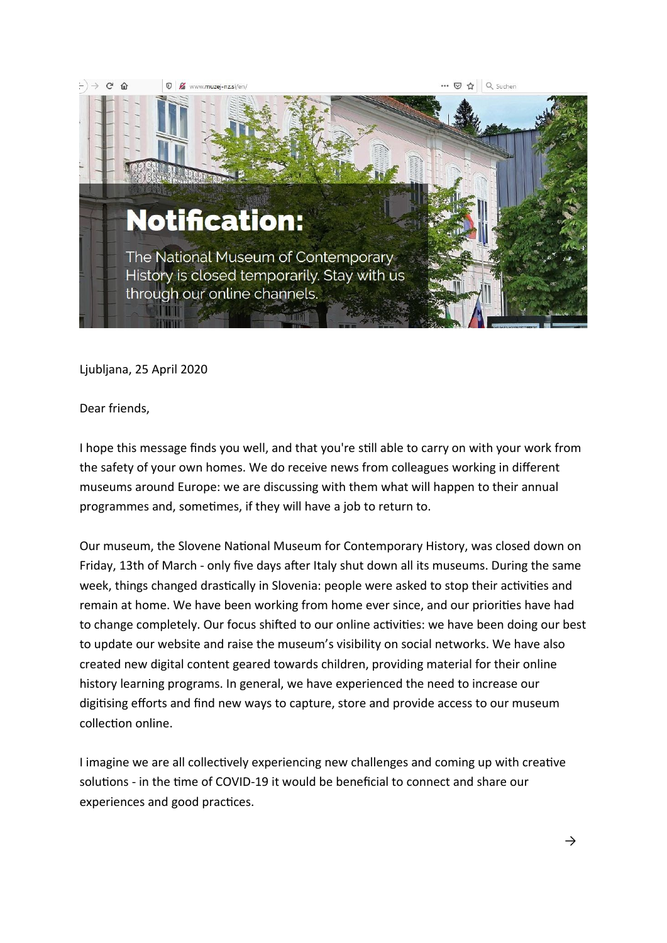

Ljubljana, 25 April 2020

Dear friends,

I hope this message finds you well, and that you're still able to carry on with your work from the safety of your own homes. We do receive news from colleagues working in different museums around Europe: we are discussing with them what will happen to their annual programmes and, sometimes, if they will have a job to return to.

Our museum, the Slovene National Museum for Contemporary History, was closed down on Friday, 13th of March - only five days after Italy shut down all its museums. During the same week, things changed drastically in Slovenia: people were asked to stop their activities and remain at home. We have been working from home ever since, and our priorities have had to change completely. Our focus shifted to our online activities: we have been doing our best to update our website and raise the museum's visibility on social networks. We have also created new digital content geared towards children, providing material for their online history learning programs. In general, we have experienced the need to increase our digitising efforts and find new ways to capture, store and provide access to our museum collection online.

I imagine we are all collectively experiencing new challenges and coming up with creative solutions - in the time of COVID-19 it would be beneficial to connect and share our experiences and good practices.